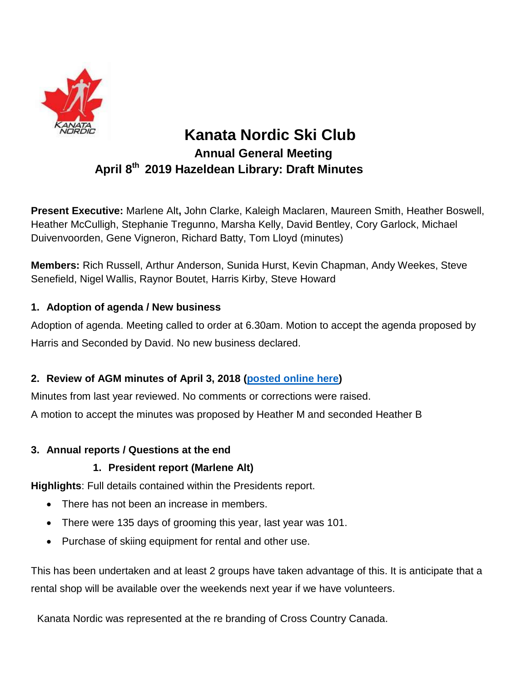

# **Kanata Nordic Ski Club Annual General Meeting April 8 th 2019 Hazeldean Library: Draft Minutes**

**Present Executive:** Marlene Alt**,** John Clarke, Kaleigh Maclaren, Maureen Smith, Heather Boswell, Heather McCulligh, Stephanie Tregunno, Marsha Kelly, David Bentley, Cory Garlock, Michael Duivenvoorden, Gene Vigneron, Richard Batty, Tom Lloyd (minutes)

**Members:** Rich Russell, Arthur Anderson, Sunida Hurst, Kevin Chapman, Andy Weekes, Steve Senefield, Nigel Wallis, Raynor Boutet, Harris Kirby, Steve Howard

### **1. Adoption of agenda / New business**

Adoption of agenda. Meeting called to order at 6.30am. Motion to accept the agenda proposed by Harris and Seconded by David. No new business declared.

### **2. Review of AGM minutes of April 3, 2018 [\(posted](http://www.kanatanordic.ca/wp-content/uploads/2017-18-AGM-minutes-draft.pdf) online here)**

Minutes from last year reviewed. No comments or corrections were raised.

A motion to accept the minutes was proposed by Heather M and seconded Heather B

### **3. Annual reports / Questions at the end**

### **1. President report (Marlene Alt)**

**Highlights**: Full details contained within the Presidents report.

- There has not been an increase in members.
- There were 135 days of grooming this year, last year was 101.
- Purchase of skiing equipment for rental and other use.

This has been undertaken and at least 2 groups have taken advantage of this. It is anticipate that a rental shop will be available over the weekends next year if we have volunteers.

Kanata Nordic was represented at the re branding of Cross Country Canada.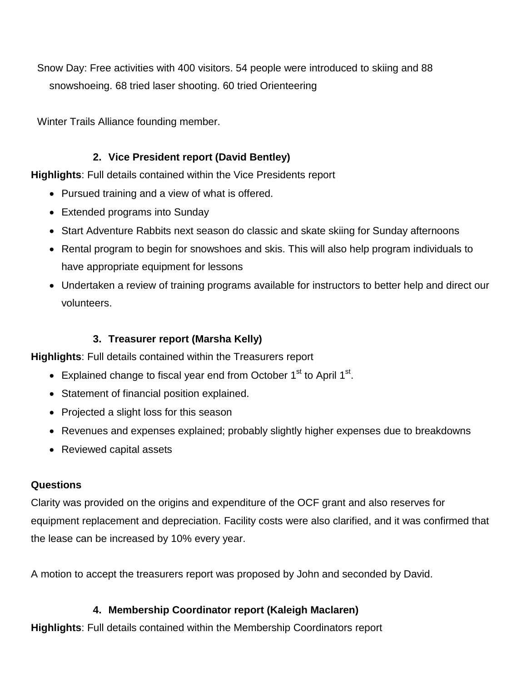Snow Day: Free activities with 400 visitors. 54 people were introduced to skiing and 88 snowshoeing. 68 tried laser shooting. 60 tried Orienteering

Winter Trails Alliance founding member.

## **2. Vice President report (David Bentley)**

**Highlights**: Full details contained within the Vice Presidents report

- Pursued training and a view of what is offered.
- Extended programs into Sunday
- Start Adventure Rabbits next season do classic and skate skiing for Sunday afternoons
- Rental program to begin for snowshoes and skis. This will also help program individuals to have appropriate equipment for lessons
- Undertaken a review of training programs available for instructors to better help and direct our volunteers.

# **3. Treasurer report (Marsha Kelly)**

**Highlights**: Full details contained within the Treasurers report

- Explained change to fiscal year end from October  $1<sup>st</sup>$  to April  $1<sup>st</sup>$ .
- Statement of financial position explained.
- Projected a slight loss for this season
- Revenues and expenses explained; probably slightly higher expenses due to breakdowns
- Reviewed capital assets

### **Questions**

Clarity was provided on the origins and expenditure of the OCF grant and also reserves for equipment replacement and depreciation. Facility costs were also clarified, and it was confirmed that the lease can be increased by 10% every year.

A motion to accept the treasurers report was proposed by John and seconded by David.

### **4. Membership Coordinator report (Kaleigh Maclaren)**

**Highlights**: Full details contained within the Membership Coordinators report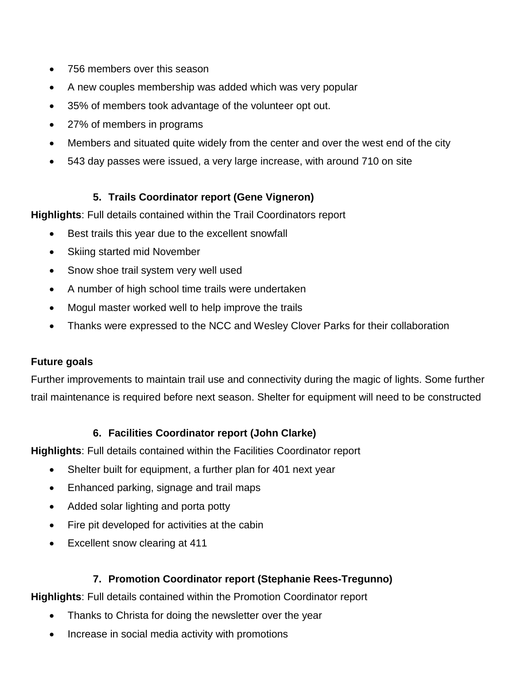- 756 members over this season
- A new couples membership was added which was very popular
- 35% of members took advantage of the volunteer opt out.
- 27% of members in programs
- Members and situated quite widely from the center and over the west end of the city
- 543 day passes were issued, a very large increase, with around 710 on site

### **5. Trails Coordinator report (Gene Vigneron)**

**Highlights**: Full details contained within the Trail Coordinators report

- Best trails this year due to the excellent snowfall
- Skiing started mid November
- Snow shoe trail system very well used
- A number of high school time trails were undertaken
- Mogul master worked well to help improve the trails
- Thanks were expressed to the NCC and Wesley Clover Parks for their collaboration

### **Future goals**

Further improvements to maintain trail use and connectivity during the magic of lights. Some further trail maintenance is required before next season. Shelter for equipment will need to be constructed

### **6. Facilities Coordinator report (John Clarke)**

**Highlights**: Full details contained within the Facilities Coordinator report

- Shelter built for equipment, a further plan for 401 next year
- Enhanced parking, signage and trail maps
- Added solar lighting and porta potty
- Fire pit developed for activities at the cabin
- Excellent snow clearing at 411

### **7. Promotion Coordinator report (Stephanie Rees-Tregunno)**

**Highlights**: Full details contained within the Promotion Coordinator report

- Thanks to Christa for doing the newsletter over the year
- Increase in social media activity with promotions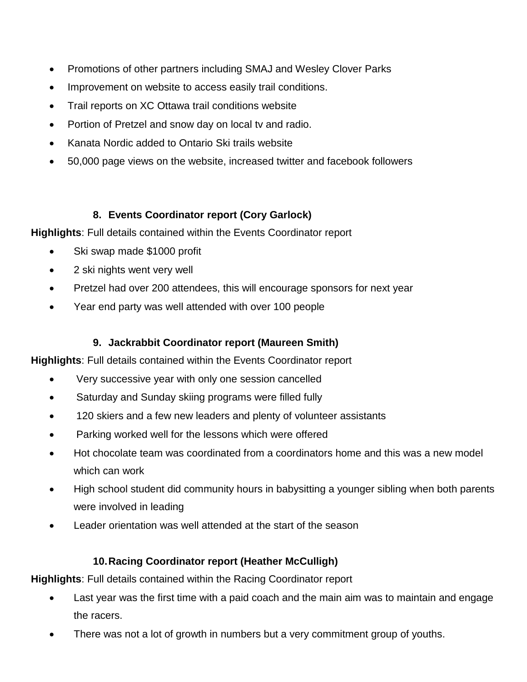- Promotions of other partners including SMAJ and Wesley Clover Parks
- Improvement on website to access easily trail conditions.
- Trail reports on XC Ottawa trail conditions website
- Portion of Pretzel and snow day on local tv and radio.
- Kanata Nordic added to Ontario Ski trails website
- 50,000 page views on the website, increased twitter and facebook followers

# **8. Events Coordinator report (Cory Garlock)**

**Highlights**: Full details contained within the Events Coordinator report

- Ski swap made \$1000 profit
- 2 ski nights went very well
- Pretzel had over 200 attendees, this will encourage sponsors for next year
- Year end party was well attended with over 100 people

# **9. Jackrabbit Coordinator report (Maureen Smith)**

**Highlights**: Full details contained within the Events Coordinator report

- Very successive year with only one session cancelled
- Saturday and Sunday skiing programs were filled fully
- 120 skiers and a few new leaders and plenty of volunteer assistants
- Parking worked well for the lessons which were offered
- Hot chocolate team was coordinated from a coordinators home and this was a new model which can work
- High school student did community hours in babysitting a younger sibling when both parents were involved in leading
- Leader orientation was well attended at the start of the season

# **10.Racing Coordinator report (Heather McCulligh)**

**Highlights**: Full details contained within the Racing Coordinator report

- Last year was the first time with a paid coach and the main aim was to maintain and engage the racers.
- There was not a lot of growth in numbers but a very commitment group of youths.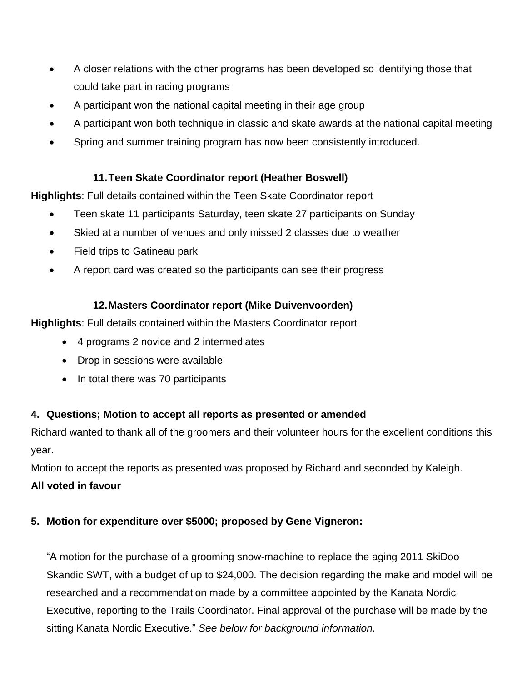- A closer relations with the other programs has been developed so identifying those that could take part in racing programs
- A participant won the national capital meeting in their age group
- A participant won both technique in classic and skate awards at the national capital meeting
- Spring and summer training program has now been consistently introduced.

### **11.Teen Skate Coordinator report (Heather Boswell)**

**Highlights**: Full details contained within the Teen Skate Coordinator report

- Teen skate 11 participants Saturday, teen skate 27 participants on Sunday
- Skied at a number of venues and only missed 2 classes due to weather
- Field trips to Gatineau park
- A report card was created so the participants can see their progress

### **12.Masters Coordinator report (Mike Duivenvoorden)**

**Highlights**: Full details contained within the Masters Coordinator report

- 4 programs 2 novice and 2 intermediates
- Drop in sessions were available
- In total there was 70 participants

### **4. Questions; Motion to accept all reports as presented or amended**

Richard wanted to thank all of the groomers and their volunteer hours for the excellent conditions this year.

Motion to accept the reports as presented was proposed by Richard and seconded by Kaleigh.

### **All voted in favour**

### **5. Motion for expenditure over \$5000; proposed by Gene Vigneron:**

"A motion for the purchase of a grooming snow-machine to replace the aging 2011 SkiDoo Skandic SWT, with a budget of up to \$24,000. The decision regarding the make and model will be researched and a recommendation made by a committee appointed by the Kanata Nordic Executive, reporting to the Trails Coordinator. Final approval of the purchase will be made by the sitting Kanata Nordic Executive." *See below for background information.*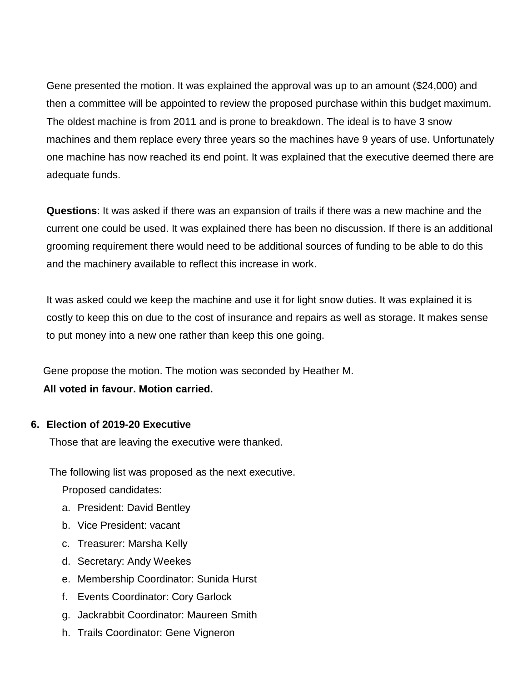Gene presented the motion. It was explained the approval was up to an amount (\$24,000) and then a committee will be appointed to review the proposed purchase within this budget maximum. The oldest machine is from 2011 and is prone to breakdown. The ideal is to have 3 snow machines and them replace every three years so the machines have 9 years of use. Unfortunately one machine has now reached its end point. It was explained that the executive deemed there are adequate funds.

**Questions**: It was asked if there was an expansion of trails if there was a new machine and the current one could be used. It was explained there has been no discussion. If there is an additional grooming requirement there would need to be additional sources of funding to be able to do this and the machinery available to reflect this increase in work.

It was asked could we keep the machine and use it for light snow duties. It was explained it is costly to keep this on due to the cost of insurance and repairs as well as storage. It makes sense to put money into a new one rather than keep this one going.

Gene propose the motion. The motion was seconded by Heather M. **All voted in favour. Motion carried.**

### **6. Election of 2019-20 Executive**

Those that are leaving the executive were thanked.

The following list was proposed as the next executive.

Proposed candidates:

- a. President: David Bentley
- b. Vice President: vacant
- c. Treasurer: Marsha Kelly
- d. Secretary: Andy Weekes
- e. Membership Coordinator: Sunida Hurst
- f. Events Coordinator: Cory Garlock
- g. Jackrabbit Coordinator: Maureen Smith
- h. Trails Coordinator: Gene Vigneron